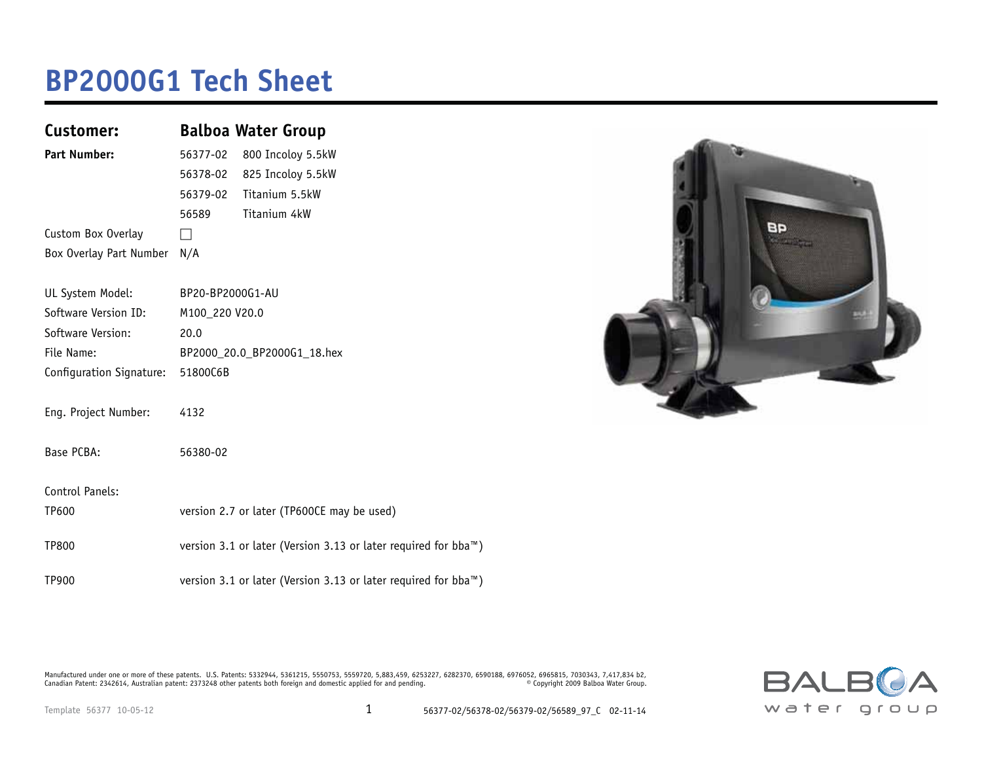### **BP2000G1 Tech Sheet**

| Customer:                | <b>Balboa Water Group</b>                                                   |
|--------------------------|-----------------------------------------------------------------------------|
| <b>Part Number:</b>      | 800 Incoloy 5.5kW<br>56377-02                                               |
|                          | 825 Incoloy 5.5kW<br>56378-02                                               |
|                          | Titanium 5.5kW<br>56379-02                                                  |
|                          | Titanium 4kW<br>56589                                                       |
| Custom Box Overlay       | H                                                                           |
| Box Overlay Part Number  | N/A                                                                         |
|                          |                                                                             |
| UL System Model:         | BP20-BP2000G1-AU                                                            |
| Software Version ID:     | M100 220 V20.0                                                              |
| Software Version:        | 20.0                                                                        |
| File Name:               | BP2000_20.0_BP2000G1_18.hex                                                 |
| Configuration Signature: | 51800C6B                                                                    |
|                          |                                                                             |
| Eng. Project Number:     | 4132                                                                        |
| Base PCBA:               | 56380-02                                                                    |
|                          |                                                                             |
| Control Panels:          |                                                                             |
| TP600                    | version 2.7 or later (TP600CE may be used)                                  |
|                          |                                                                             |
| <b>TP800</b>             | version 3.1 or later (Version 3.13 or later required for bba <sup>™</sup> ) |
| TP900                    | version 3.1 or later (Version 3.13 or later required for bba <sup>™</sup> ) |



Manufactured under one or more of these patents. U.S. Patents: 5332944, 5361215, 5550753, 5559720, 5,883,459, 6253227, 6282370, 6590188, 6976052, 6965815, 7030343, 7,417,834 b2,<br>Canadian Patent: 2342614, Australian patent

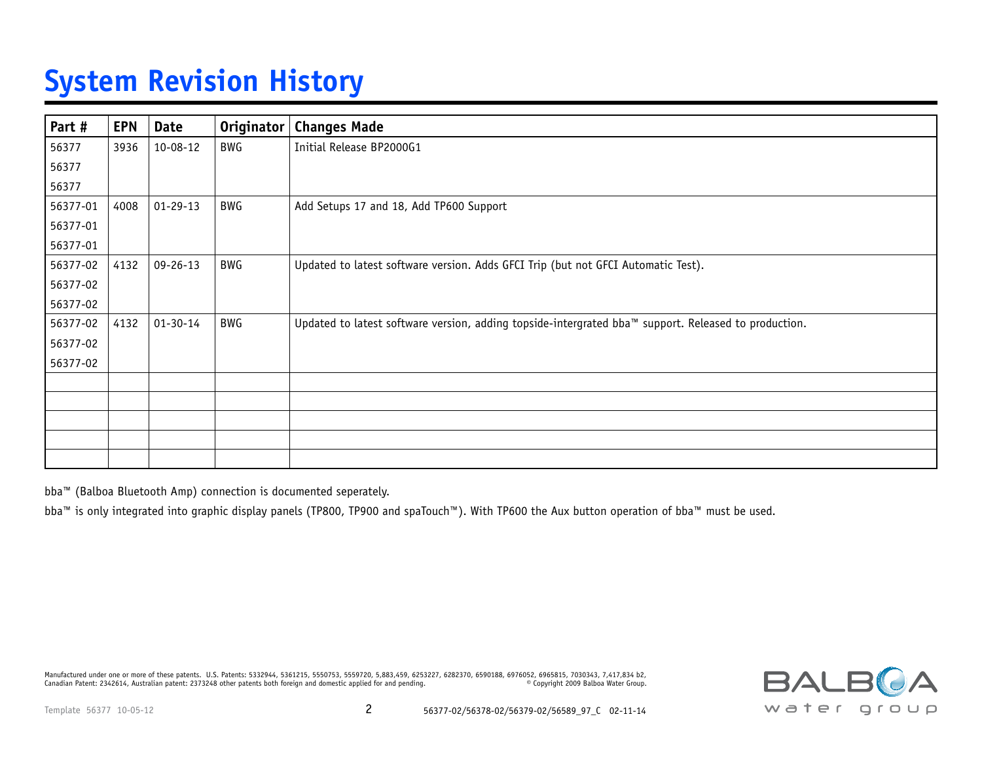## **System Revision History**

| Part #   | <b>EPN</b> | <b>Date</b>    | <b>Originator</b> | <b>Changes Made</b>                                                                                  |
|----------|------------|----------------|-------------------|------------------------------------------------------------------------------------------------------|
| 56377    | 3936       | 10-08-12       | BWG               | Initial Release BP2000G1                                                                             |
| 56377    |            |                |                   |                                                                                                      |
| 56377    |            |                |                   |                                                                                                      |
| 56377-01 | 4008       | $01 - 29 - 13$ | BWG               | Add Setups 17 and 18, Add TP600 Support                                                              |
| 56377-01 |            |                |                   |                                                                                                      |
| 56377-01 |            |                |                   |                                                                                                      |
| 56377-02 | 4132       | $09 - 26 - 13$ | BWG               | Updated to latest software version. Adds GFCI Trip (but not GFCI Automatic Test).                    |
| 56377-02 |            |                |                   |                                                                                                      |
| 56377-02 |            |                |                   |                                                                                                      |
| 56377-02 | 4132       | $01 - 30 - 14$ | BWG               | Updated to latest software version, adding topside-intergrated bba™ support. Released to production. |
| 56377-02 |            |                |                   |                                                                                                      |
| 56377-02 |            |                |                   |                                                                                                      |
|          |            |                |                   |                                                                                                      |
|          |            |                |                   |                                                                                                      |
|          |            |                |                   |                                                                                                      |
|          |            |                |                   |                                                                                                      |
|          |            |                |                   |                                                                                                      |

bba™ (Balboa Bluetooth Amp) connection is documented seperately.

bba™ is only integrated into graphic display panels (TP800, TP900 and spaTouch™). With TP600 the Aux button operation of bba™ must be used.

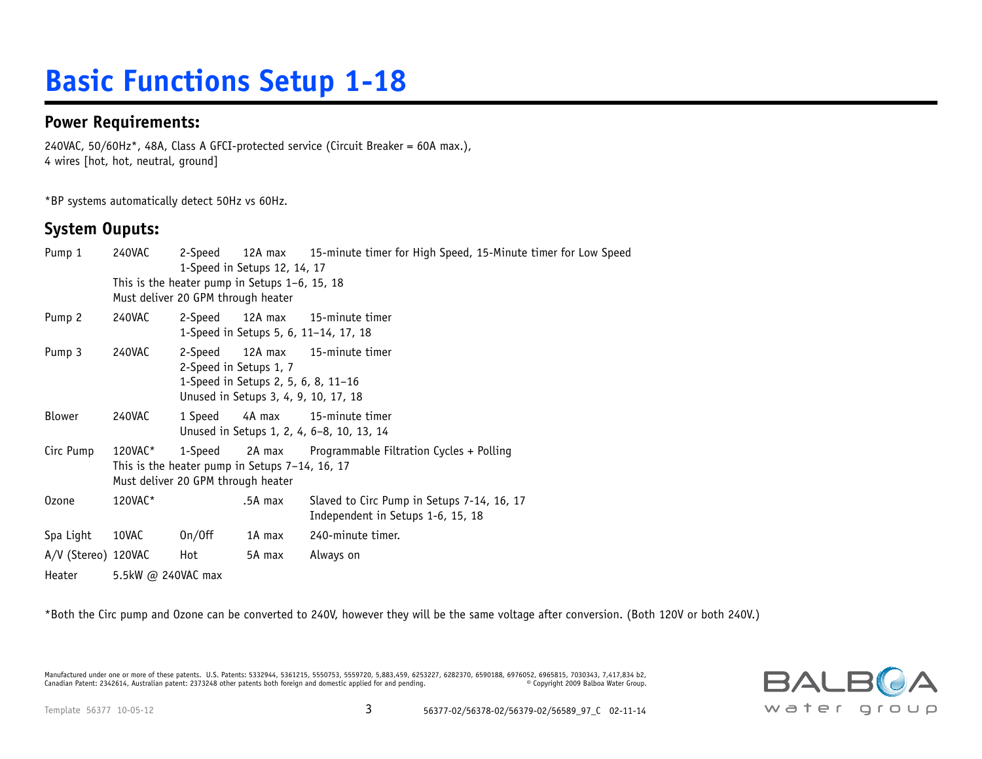# **Basic Functions Setup 1-18**

#### **Power Requirements:**

240VAC, 50/60Hz\*, 48A, Class A GFCI-protected service (Circuit Breaker = 60A max.), 4 wires [hot, hot, neutral, ground]

\*BP systems automatically detect 50Hz vs 60Hz.

### **System Ouputs:**

| Pump 1              | 240VAC             | 2-Speed                                                                              | 1-Speed in Setups 12, 14, 17                                                           | 12A max 15-minute timer for High Speed, 15-Minute timer for Low Speed           |  |  |  |  |  |  |  |
|---------------------|--------------------|--------------------------------------------------------------------------------------|----------------------------------------------------------------------------------------|---------------------------------------------------------------------------------|--|--|--|--|--|--|--|
|                     |                    |                                                                                      | This is the heater pump in Setups $1-6$ , 15, 18<br>Must deliver 20 GPM through heater |                                                                                 |  |  |  |  |  |  |  |
| Pump 2              | 240VAC             |                                                                                      |                                                                                        | 2-Speed 12A max 15-minute timer<br>1-Speed in Setups 5, 6, 11-14, 17, 18        |  |  |  |  |  |  |  |
| Pump 3              | 240VAC             | 2-Speed<br>2-Speed in Setups 1, 7                                                    | 1-Speed in Setups 2, 5, 6, 8, 11-16<br>Unused in Setups 3, 4, 9, 10, 17, 18            | 12A max 15-minute timer                                                         |  |  |  |  |  |  |  |
| Blower              | 240VAC             | 1 Speed                                                                              |                                                                                        | 4A max 15-minute timer<br>Unused in Setups 1, 2, 4, 6-8, 10, 13, 14             |  |  |  |  |  |  |  |
| Circ Pump           | 120VAC*            | This is the heater pump in Setups 7-14, 16, 17<br>Must deliver 20 GPM through heater |                                                                                        | 1-Speed 2A max Programmable Filtration Cycles + Polling                         |  |  |  |  |  |  |  |
| 0zone               | 120VAC*            |                                                                                      | .5A max                                                                                | Slaved to Circ Pump in Setups 7-14, 16, 17<br>Independent in Setups 1-6, 15, 18 |  |  |  |  |  |  |  |
| Spa Light           | 10VAC              | On/Off                                                                               | 1A max                                                                                 | 240-minute timer.                                                               |  |  |  |  |  |  |  |
| A/V (Stereo) 120VAC |                    | Hot                                                                                  | 5A max                                                                                 | Always on                                                                       |  |  |  |  |  |  |  |
| Heater              | 5.5kW @ 240VAC max |                                                                                      |                                                                                        |                                                                                 |  |  |  |  |  |  |  |

\*Both the Circ pump and Ozone can be converted to 240V, however they will be the same voltage after conversion. (Both 120V or both 240V.)

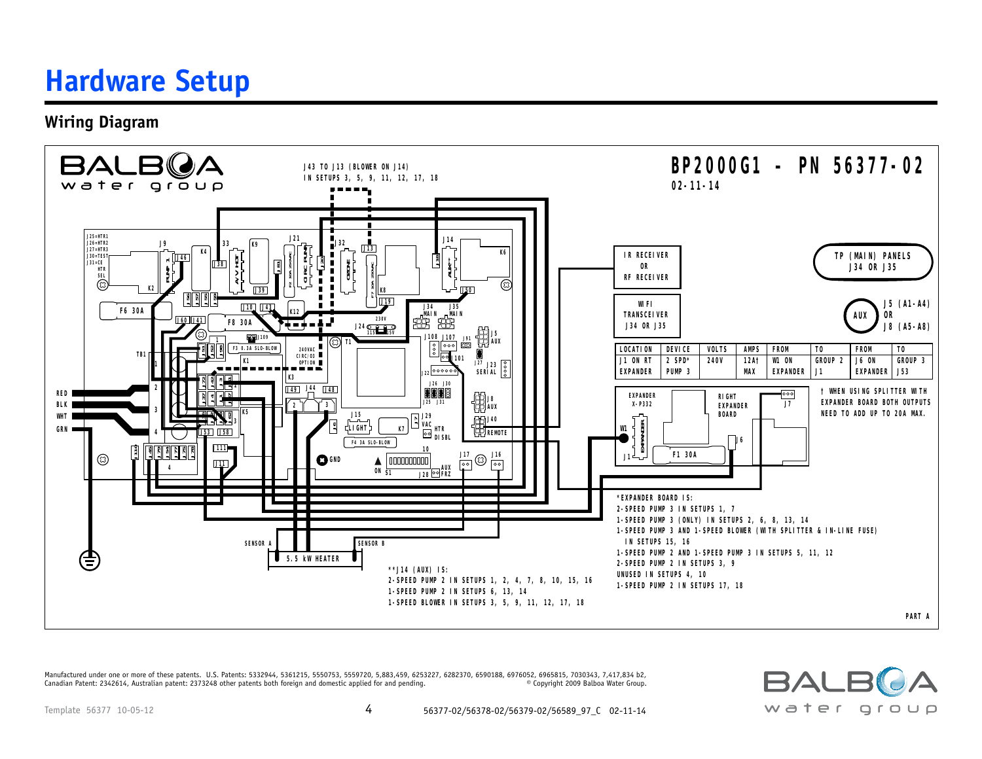### **Hardware Setup**

**Wiring Diagram** 



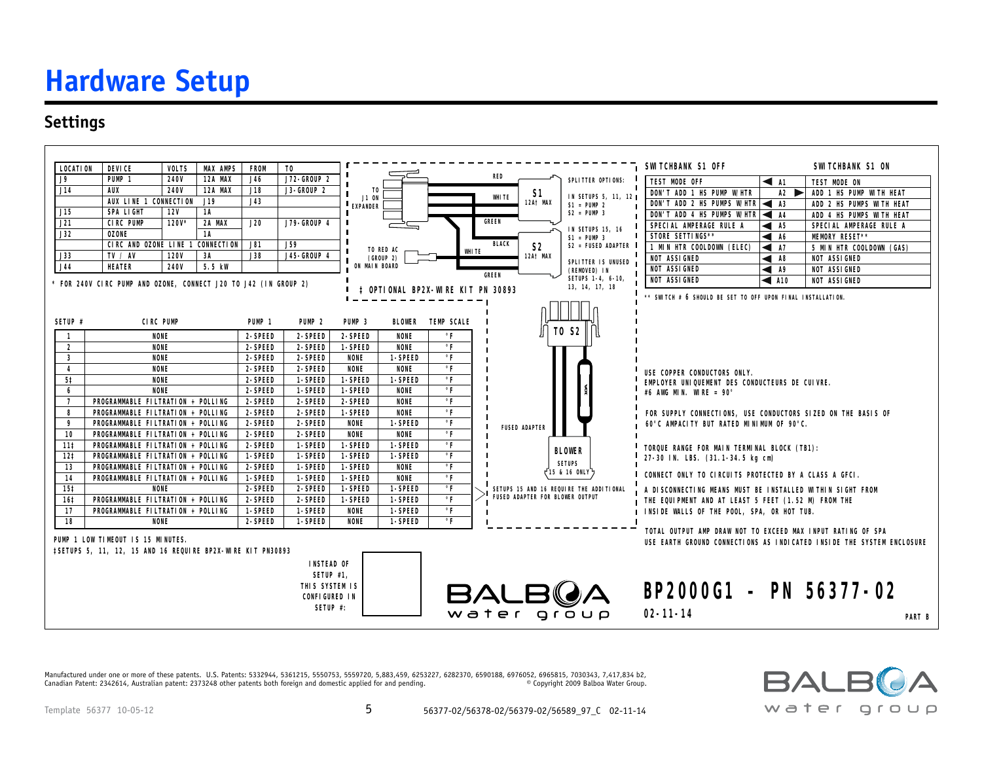## **Hardware Setup**

### **Settings**



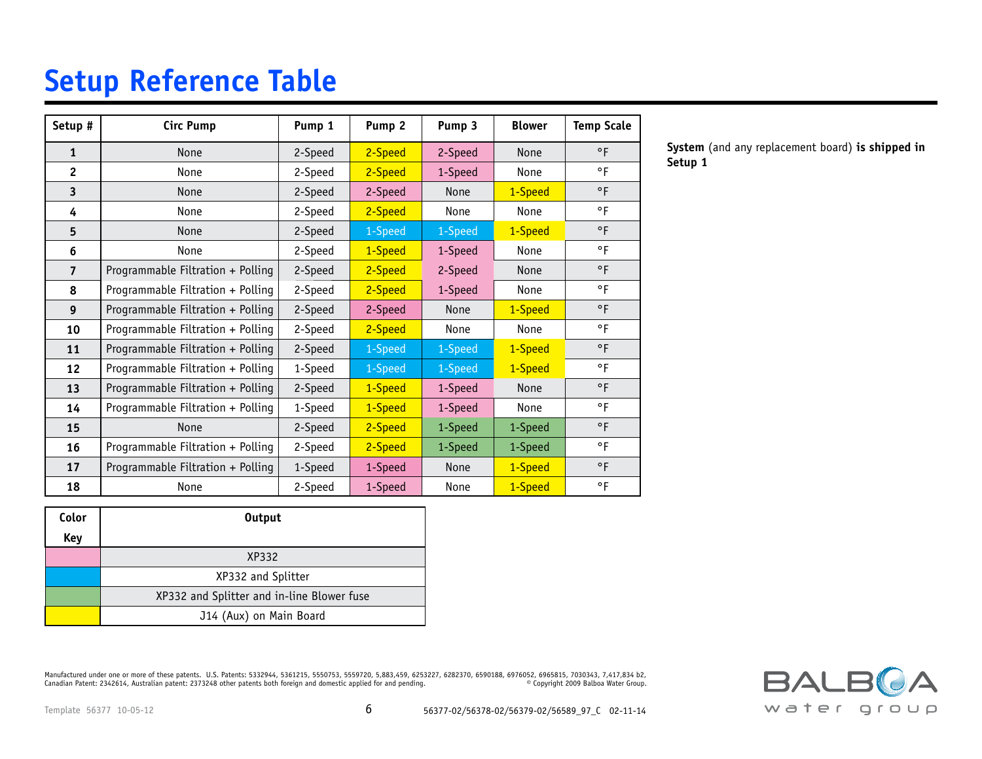### **Setup Reference Table**

| Setup #        | <b>Circ Pump</b>                  | Pump 1  | Pump <sub>2</sub> | Pump 3      | <b>Blower</b> | <b>Temp Scale</b> |
|----------------|-----------------------------------|---------|-------------------|-------------|---------------|-------------------|
| $\mathbf{1}$   | <b>None</b>                       | 2-Speed | 2-Speed           | 2-Speed     | <b>None</b>   | $\circ$ F         |
| $\overline{c}$ | None                              | 2-Speed | 2-Speed           | 1-Speed     | None          | °F                |
| 3              | <b>None</b>                       | 2-Speed | 2-Speed           | <b>None</b> | 1-Speed       | $\circ$ F         |
| 4              | None                              | 2-Speed | 2-Speed           | None        | None          | $\circ$ F         |
| 5              | None                              | 2-Speed | 1-Speed           | 1-Speed     | 1-Speed       | $\circ$ F         |
| 6              | None                              | 2-Speed | 1-Speed           | 1-Speed     | None          | $\circ$ F         |
| $\overline{7}$ | Programmable Filtration + Polling | 2-Speed | 2-Speed           | 2-Speed     | None          | $\circ$ F         |
| 8              | Programmable Filtration + Polling | 2-Speed | 2-Speed           | 1-Speed     | None          | $\circ$ F         |
| 9              | Programmable Filtration + Polling | 2-Speed | 2-Speed           | <b>None</b> | 1-Speed       | $\circ$ F         |
| 10             | Programmable Filtration + Polling | 2-Speed | 2-Speed           | None        | None          | °F                |
| 11             | Programmable Filtration + Polling | 2-Speed | 1-Speed           | 1-Speed     | 1-Speed       | $\circ$ F         |
| 12             | Programmable Filtration + Polling | 1-Speed | 1-Speed           | 1-Speed     | 1-Speed       | $\circ$ F         |
| 13             | Programmable Filtration + Polling | 2-Speed | 1-Speed           | 1-Speed     | None          | $\circ$ F         |
| 14             | Programmable Filtration + Polling | 1-Speed | 1-Speed           | 1-Speed     | None          | $\circ$ F         |
| 15             | None                              | 2-Speed | 2-Speed           | 1-Speed     | 1-Speed       | $\circ$ F         |
| 16             | Programmable Filtration + Polling | 2-Speed | 2-Speed           | 1-Speed     | 1-Speed       | $\circ$ F         |
| 17             | Programmable Filtration + Polling | 1-Speed | 1-Speed           | None        | 1-Speed       | $\circ$ F         |
| 18             | None                              | 2-Speed | 1-Speed           | None        | 1-Speed       | $\circ$ F         |

| Color | <b>Output</b>                              |  |  |  |  |  |  |  |  |  |
|-------|--------------------------------------------|--|--|--|--|--|--|--|--|--|
| Key   |                                            |  |  |  |  |  |  |  |  |  |
|       | XP332                                      |  |  |  |  |  |  |  |  |  |
|       | XP332 and Splitter                         |  |  |  |  |  |  |  |  |  |
|       | XP332 and Splitter and in-line Blower fuse |  |  |  |  |  |  |  |  |  |
|       | J14 (Aux) on Main Board                    |  |  |  |  |  |  |  |  |  |

Manufactured under one or more of these patents. U.S. Patents: 5332944, 5361215, 5550753, 5559720, 5,883,459, 6253227, 6282370, 6590188, 6976052, 6965815, 7030343, 7,417,834 b2,<br>Canadian Patent: 2342614, Australian patent: Canadian Patent: 2342614, Australian patent: 2373248 other patents both foreign and domestic applied for and pending.

**BALBOA** water group

**System** (and any replacement board) **is shipped in** 

**Setup 1**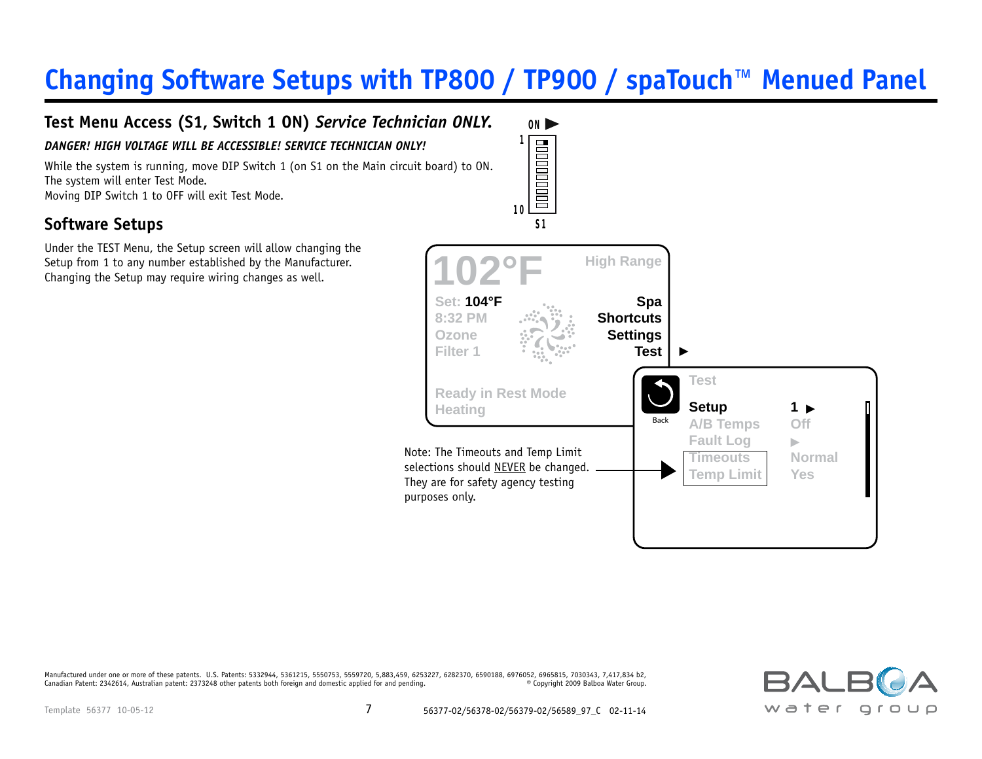### **Changing Software Setups with TP800 / TP900 / spaTouch™ Menued Panel**



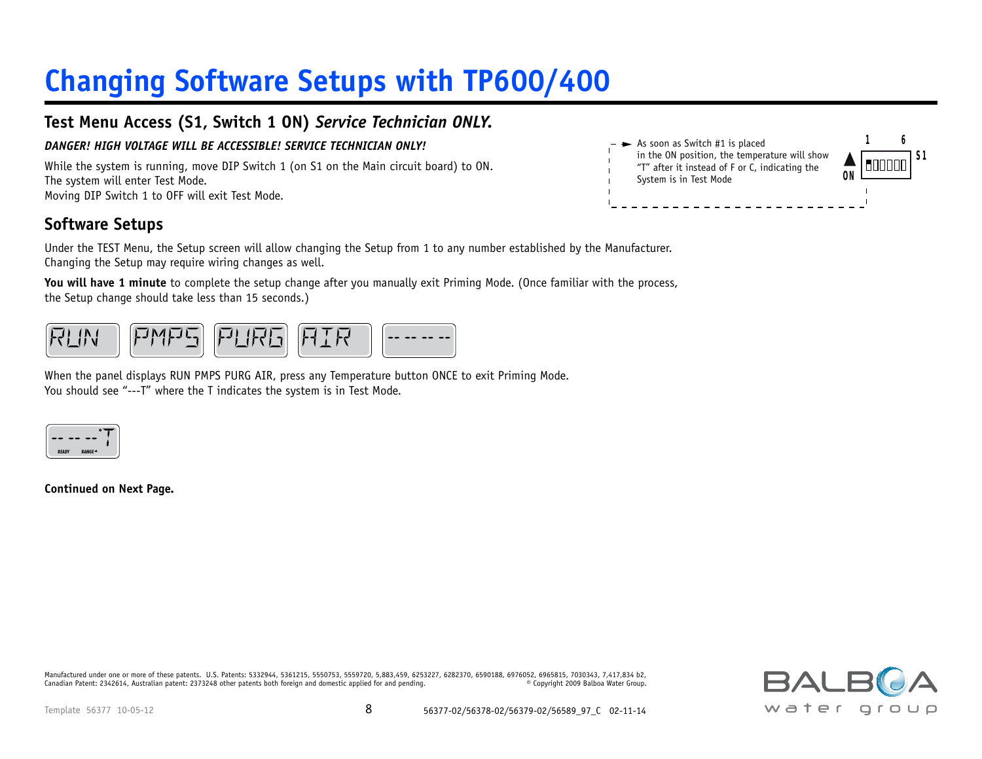# **Changing Software Setups with TP600/400**

### **Customer Test Menu Access (S1, Switch 1 ON)** *Service Technician ONLY.*

#### DANGER! HIGH VOLTAGE WILL BE ACCESSIBLE! SERVICE TECHNICIAN ONLY!

While the system is running, move DIP Switch 1 (on S1 on the Main circuit board) to ON. The system will enter Test Mode. Moving DIP Switch 1 to OFF will exit Test Mode.

### **Software Setups**

Under the TEST Menu, the Setup screen will allow changing the Setup from 1 to any number established by the Manufacturer. Changing the Setup may require wiring changes as well.

**You will have 1 minute** to complete the setup change after you manually exit Priming Mode. (Once familiar with the process, the Setup change should take less than 15 seconds.)



When the panel displays RUN PMPS PURG AIR, press any Temperature button ONCE to exit Priming Mode. You should see "---T" where the T indicates the system is in Test Mode.



**Continued on Next Page.**



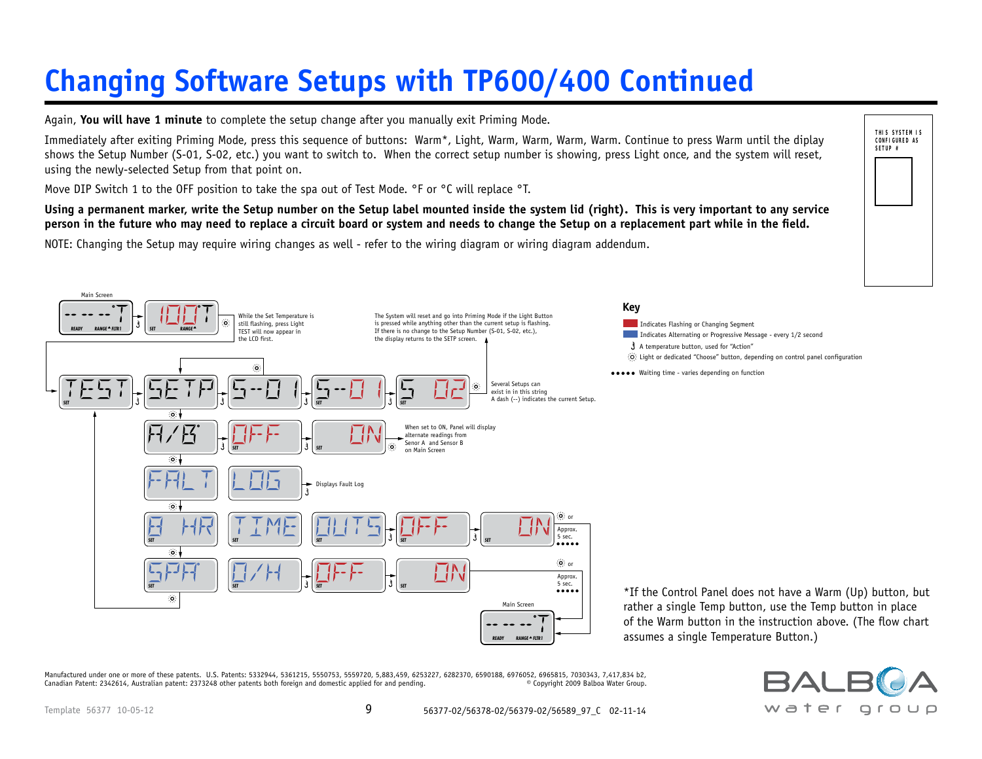# **Changing Software Setups with TP600/400 Continued**

**Customer** Again, **You will have 1 minute** to complete the setup change after you manually exit Priming Mode.

Immediately arter exiting Triming Piode, press this sequence or buttons. Wann, Pagnt, wann, wann, wann, continue to press wann until the urplay<br>shows the Setup Number (S-01, S-02, etc.) you want to switch to. When the corr using the newly-selected Setup from that point on. Immediately after exiting Priming Mode, press this sequence of buttons: Warm\*, Light, Warm, Warm, Warm, Warm. Continue to press Warm until the diplay

Move DIP Switch 1 to the OFF position to take the spa out of Test Mode. °F or °C will replace °T.

**Using a permanent marker, write the Setup number on the Setup label mounted inside the system lid (right). This is very important to any service person in the future who may need to replace a circuit board or system and needs to change the Setup on a replacement part while in the field.**

NOTE: Changing the Setup may require wiring changes as well - refer to the wiring diagram or wiring diagram addendum.



Manufactured under one or more of these patents. U.S. Patents: 5332944, 5361215, 5550753, 5559720, 5,883,459, 6253227, 6282370, 6590188, 6976052, 6965815, 7030343, 7,417,834 b2, مالكات المسابقة المسابقة المسابقة المسابقة Canadian Patent: 2342614, Australian patent: 2373248 other patents both foreign and domestic applied for and pending.



**THIS SYSTEM IS CONFIGURED AS SETUP #**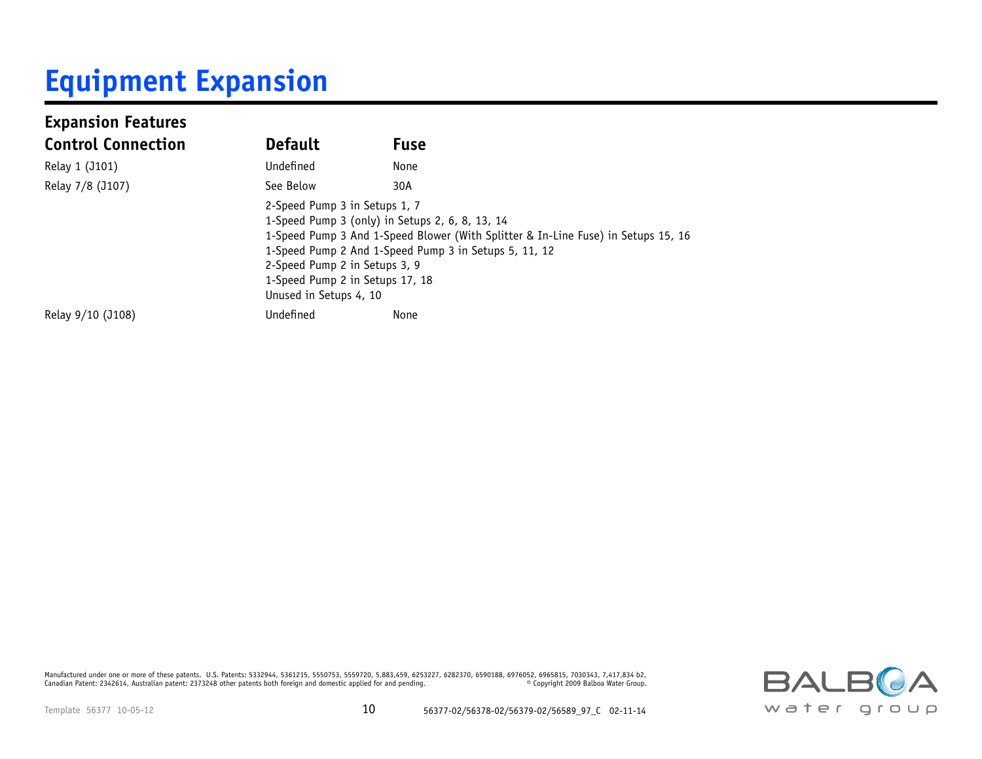# **Equipment Expansion**

| <b>Expansion Features</b> |                                                                                                                             |                                                                                                                                                                                               |
|---------------------------|-----------------------------------------------------------------------------------------------------------------------------|-----------------------------------------------------------------------------------------------------------------------------------------------------------------------------------------------|
| <b>Control Connection</b> | <b>Default</b>                                                                                                              | <b>Fuse</b>                                                                                                                                                                                   |
| Relay 1 (J101)            | Undefined                                                                                                                   | None                                                                                                                                                                                          |
| Relay 7/8 (J107)          | See Below                                                                                                                   | 30A                                                                                                                                                                                           |
|                           | 2-Speed Pump 3 in Setups 1, 7<br>2-Speed Pump 2 in Setups 3, 9<br>1-Speed Pump 2 in Setups 17, 18<br>Unused in Setups 4, 10 | 1-Speed Pump 3 (only) in Setups 2, 6, 8, 13, 14<br>1-Speed Pump 3 And 1-Speed Blower (With Splitter & In-Line Fuse) in Setups 15, 16<br>1-Speed Pump 2 And 1-Speed Pump 3 in Setups 5, 11, 12 |
| Relay 9/10 (J108)         | Undefined                                                                                                                   | None                                                                                                                                                                                          |

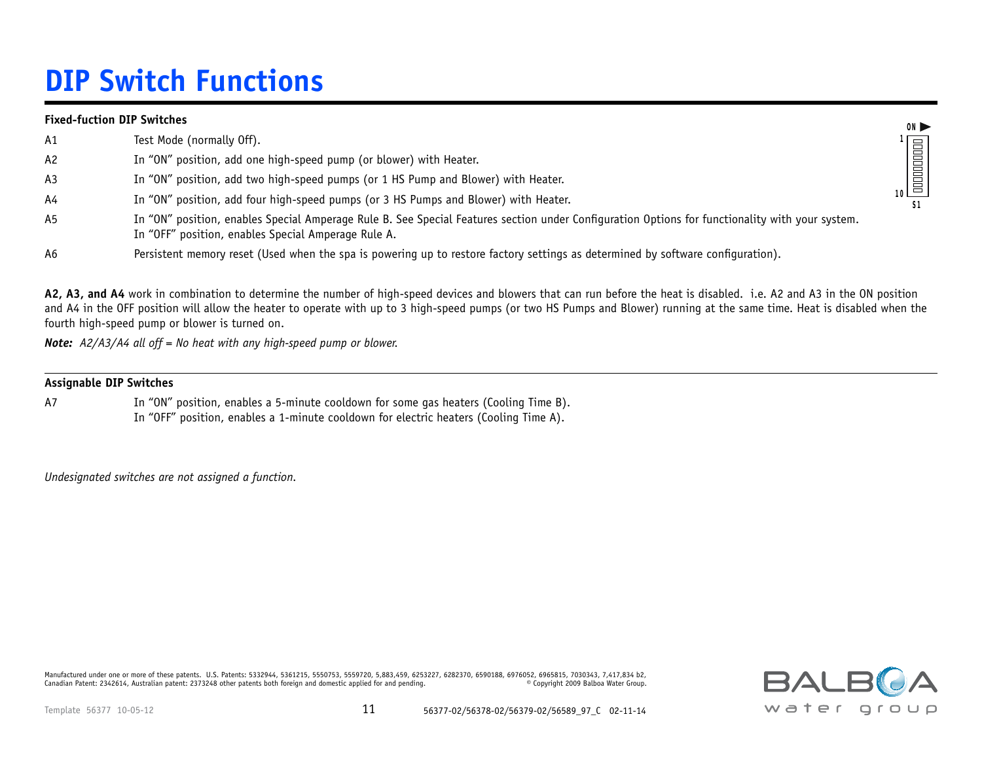## **DIP Switch Functions**

#### **Fixed-fuction DIP Switches**

| A1             | Test Mode (normally Off).                                                                                                                                                                              |    |
|----------------|--------------------------------------------------------------------------------------------------------------------------------------------------------------------------------------------------------|----|
| A2             | In "ON" position, add one high-speed pump (or blower) with Heater.                                                                                                                                     |    |
| A <sub>3</sub> | In "ON" position, add two high-speed pumps (or 1 HS Pump and Blower) with Heater.                                                                                                                      |    |
| A4             | In "ON" position, add four high-speed pumps (or 3 HS Pumps and Blower) with Heater.                                                                                                                    | 10 |
| A5             | In "ON" position, enables Special Amperage Rule B. See Special Features section under Configuration Options for functionality with your system.<br>In "OFF" position, enables Special Amperage Rule A. |    |
| A6             | Persistent memory reset (Used when the spa is powering up to restore factory settings as determined by software configuration).                                                                        |    |

**A2, A3, and A4** work in combination to determine the number of high-speed devices and blowers that can run before the heat is disabled. i.e. A2 and A3 in the ON position and A4 in the OFF position will allow the heater to operate with up to 3 high-speed pumps (or two HS Pumps and Blower) running at the same time. Heat is disabled when the fourth high-speed pump or blower is turned on.

*Note: A2/A3/A4 all off = No heat with any high-speed pump or blower.*

#### **Assignable DIP Switches**

A7 In "ON" position, enables a 5-minute cooldown for some gas heaters (Cooling Time B). In "OFF" position, enables a 1-minute cooldown for electric heaters (Cooling Time A).

*Undesignated switches are not assigned a function.*

Manufactured under one or more of these patents. U.S. Patents: 5332944, 5361215, 5550753, 5559720, 5,883,459, 6253227, 6282370, 6590188, 6976052, 6965815, 7030343, 7,417,834 b2,<br>Canadian Patent: 2342614, Australian patent: Canadian Patent: 2342614, Australian patent: 2373248 other patents both foreign and domestic applied for and pending.



**ON 1**

**S1**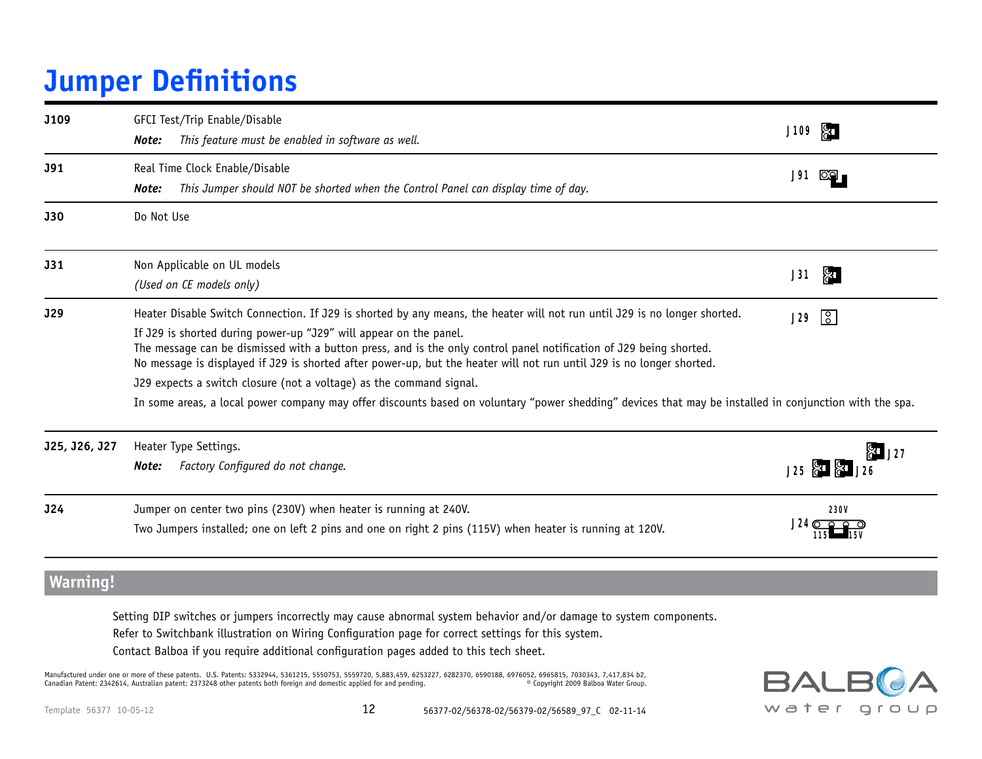## **Jumper Definitions**

| J109            | GFCI Test/Trip Enable/Disable<br>This feature must be enabled in software as well.<br>Note:                                                                                                                                                                                                                                                                                                                                                                                                                                                                                                                                                                                     | J109                                   |
|-----------------|---------------------------------------------------------------------------------------------------------------------------------------------------------------------------------------------------------------------------------------------------------------------------------------------------------------------------------------------------------------------------------------------------------------------------------------------------------------------------------------------------------------------------------------------------------------------------------------------------------------------------------------------------------------------------------|----------------------------------------|
| J91             | Real Time Clock Enable/Disable<br>This Jumper should NOT be shorted when the Control Panel can display time of day.<br>Note:                                                                                                                                                                                                                                                                                                                                                                                                                                                                                                                                                    | J91                                    |
| <b>J30</b>      | Do Not Use                                                                                                                                                                                                                                                                                                                                                                                                                                                                                                                                                                                                                                                                      |                                        |
| J31             | Non Applicable on UL models<br>(Used on CE models only)                                                                                                                                                                                                                                                                                                                                                                                                                                                                                                                                                                                                                         | <b>81</b><br>J31                       |
| <b>J29</b>      | Heater Disable Switch Connection. If J29 is shorted by any means, the heater will not run until J29 is no longer shorted.<br>If J29 is shorted during power-up "J29" will appear on the panel.<br>The message can be dismissed with a button press, and is the only control panel notification of J29 being shorted.<br>No message is displayed if J29 is shorted after power-up, but the heater will not run until J29 is no longer shorted.<br>J29 expects a switch closure (not a voltage) as the command signal.<br>In some areas, a local power company may offer discounts based on voluntary "power shedding" devices that may be installed in conjunction with the spa. | $\sqrt{2}$<br>J29                      |
| J25, J26, J27   | Heater Type Settings.<br>Factory Configured do not change.<br>Note:                                                                                                                                                                                                                                                                                                                                                                                                                                                                                                                                                                                                             | မြေ ၂ <u>၁</u> ၇<br>J25 & &            |
| <b>J24</b>      | Jumper on center two pins (230V) when heater is running at 240V.<br>Two Jumpers installed; one on left 2 pins and one on right 2 pins (115V) when heater is running at 120V.                                                                                                                                                                                                                                                                                                                                                                                                                                                                                                    | <b>230V</b><br>$J24$ $\sigma$ $\sigma$ |
| <b>Warning!</b> |                                                                                                                                                                                                                                                                                                                                                                                                                                                                                                                                                                                                                                                                                 |                                        |

 Setting DIP switches or jumpers incorrectly may cause abnormal system behavior and/or damage to system components. Refer to Switchbank illustration on Wiring Configuration page for correct settings for this system.

Contact Balboa if you require additional configuration pages added to this tech sheet.

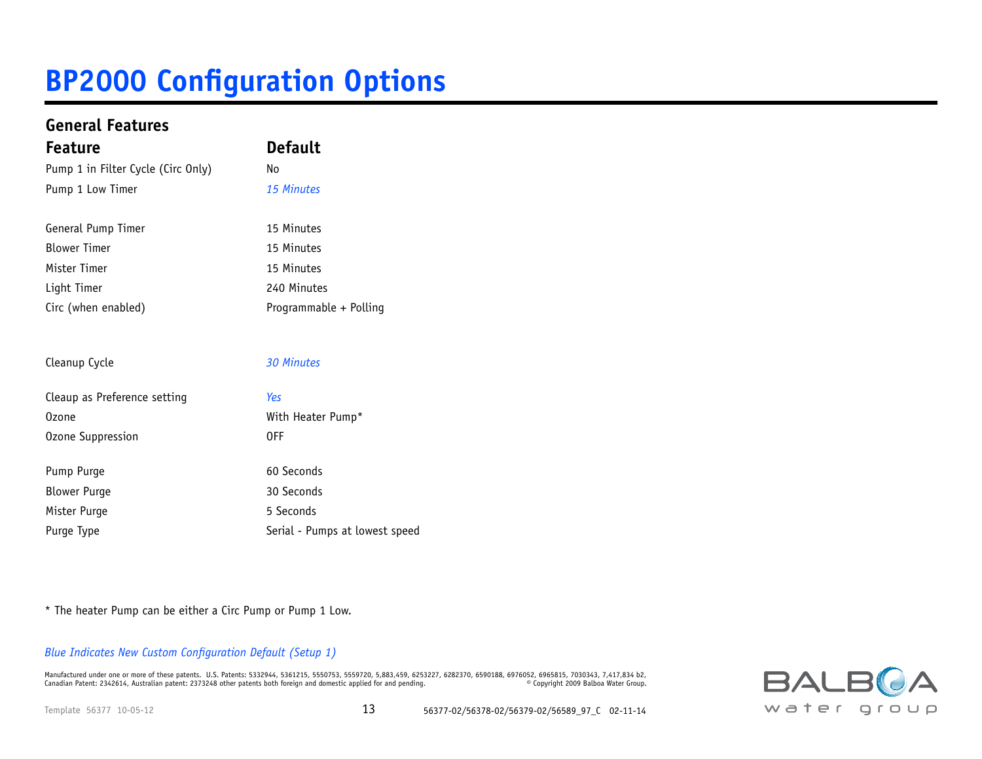| <b>General Features</b>            |                                |  |  |  |  |  |  |  |  |
|------------------------------------|--------------------------------|--|--|--|--|--|--|--|--|
| <b>Feature</b>                     | <b>Default</b>                 |  |  |  |  |  |  |  |  |
| Pump 1 in Filter Cycle (Circ Only) | No                             |  |  |  |  |  |  |  |  |
| Pump 1 Low Timer                   | 15 Minutes                     |  |  |  |  |  |  |  |  |
| General Pump Timer                 | 15 Minutes                     |  |  |  |  |  |  |  |  |
| <b>Blower Timer</b>                | 15 Minutes                     |  |  |  |  |  |  |  |  |
| Mister Timer                       | 15 Minutes                     |  |  |  |  |  |  |  |  |
| Light Timer                        | 240 Minutes                    |  |  |  |  |  |  |  |  |
| Circ (when enabled)                | Programmable + Polling         |  |  |  |  |  |  |  |  |
| Cleanup Cycle                      | <b>30 Minutes</b>              |  |  |  |  |  |  |  |  |
| Cleaup as Preference setting       | Yes                            |  |  |  |  |  |  |  |  |
| <b>Ozone</b>                       | With Heater Pump*              |  |  |  |  |  |  |  |  |
| Ozone Suppression                  | 0FF                            |  |  |  |  |  |  |  |  |
|                                    |                                |  |  |  |  |  |  |  |  |
| Pump Purge                         | 60 Seconds                     |  |  |  |  |  |  |  |  |
| <b>Blower Purge</b>                | 30 Seconds                     |  |  |  |  |  |  |  |  |
| Mister Purge                       | 5 Seconds                      |  |  |  |  |  |  |  |  |
| Purge Type                         | Serial - Pumps at lowest speed |  |  |  |  |  |  |  |  |
|                                    |                                |  |  |  |  |  |  |  |  |

\* The heater Pump can be either a Circ Pump or Pump 1 Low.

*Blue Indicates New Custom Configuration Default (Setup 1)*

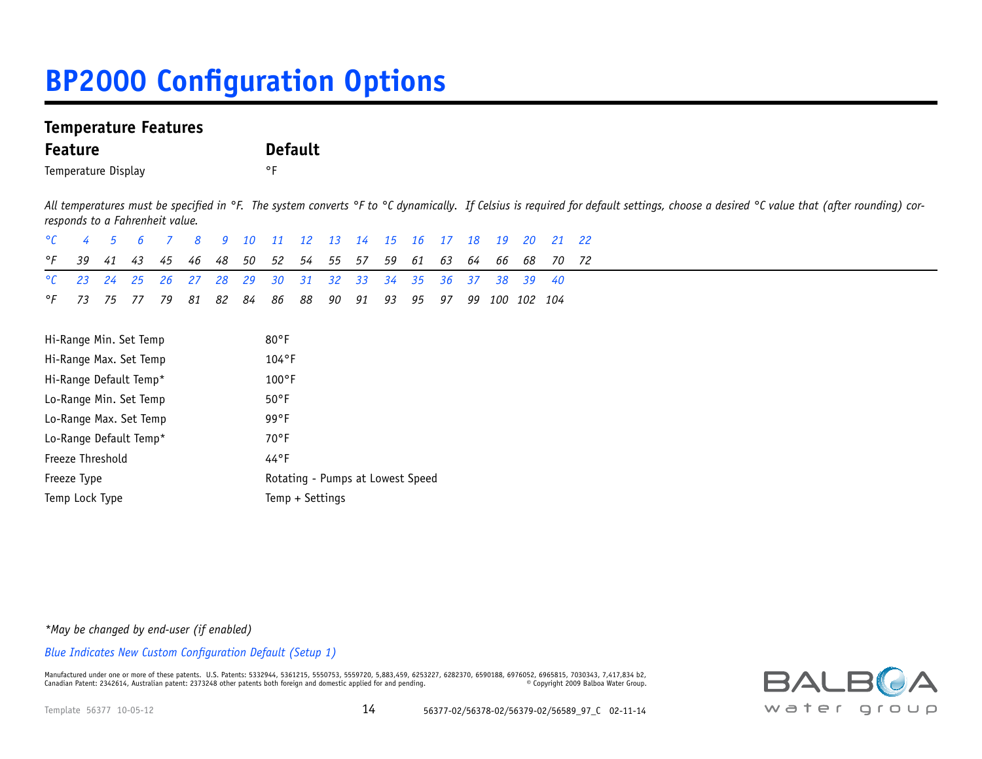### **Temperature Features**

| <b>Feature</b> | <b>Default</b> |
|----------------|----------------|
|                |                |

Temperature Display **Temperature** Display

All temperatures must be specified in °F. The system converts °F to °C dynamically. If Celsius is required for default settings, choose a desired °C value that (after rounding) cor*responds to a Fahrenheit value.* 

| $\mathcal{C}$          | 4  | 5  | 6                      |    | 8              | q                                | 10 <sup>1</sup> | 11             | $12 \overline{ }$ | 13 | 14 | 15 | 16 | 17 | 18 | 19  | 20      | 21 | 22 |
|------------------------|----|----|------------------------|----|----------------|----------------------------------|-----------------|----------------|-------------------|----|----|----|----|----|----|-----|---------|----|----|
| °F                     | 39 | 41 | 43                     | 45 | 46             | 48                               | 50              | 52             | 54                | 55 | 57 | 59 | 61 | 63 | 64 | 66  | 68      | 70 | 72 |
| $\mathcal{C}$          | 23 | 24 | 25                     | 26 | 27             | 28                               | 29              | 30             | 31                | 32 | 33 | 34 | 35 | 36 | 37 | 38  | 39      | 40 |    |
| °F                     | 73 | 75 | 77                     | 79 | 81             | 82                               | 84              | 86             | 88                | 90 | 91 | 93 | 95 | 97 | 99 | 100 | 102 104 |    |    |
|                        |    |    |                        |    |                |                                  |                 |                |                   |    |    |    |    |    |    |     |         |    |    |
|                        |    |    | Hi-Range Min. Set Temp |    |                |                                  |                 | $80^{\circ}$ F |                   |    |    |    |    |    |    |     |         |    |    |
| Hi-Range Max. Set Temp |    |    |                        |    |                | $104^{\circ}F$                   |                 |                |                   |    |    |    |    |    |    |     |         |    |    |
| Hi-Range Default Temp* |    |    |                        |    |                | $100^{\circ}$ F                  |                 |                |                   |    |    |    |    |    |    |     |         |    |    |
| Lo-Range Min. Set Temp |    |    |                        |    | $50^{\circ}$ F |                                  |                 |                |                   |    |    |    |    |    |    |     |         |    |    |
| Lo-Range Max. Set Temp |    |    |                        |    | $99^{\circ}F$  |                                  |                 |                |                   |    |    |    |    |    |    |     |         |    |    |
| Lo-Range Default Temp* |    |    |                        |    |                | $70^{\circ}$ F                   |                 |                |                   |    |    |    |    |    |    |     |         |    |    |
| Freeze Threshold       |    |    |                        |    |                | $44^{\circ}$ F                   |                 |                |                   |    |    |    |    |    |    |     |         |    |    |
| Freeze Type            |    |    |                        |    |                | Rotating - Pumps at Lowest Speed |                 |                |                   |    |    |    |    |    |    |     |         |    |    |
| Temp Lock Type         |    |    |                        |    |                |                                  | Temp + Settings |                |                   |    |    |    |    |    |    |     |         |    |    |
|                        |    |    |                        |    |                |                                  |                 |                |                   |    |    |    |    |    |    |     |         |    |    |

*\*May be changed by end-user (if enabled)*

*Blue Indicates New Custom Configuration Default (Setup 1)*

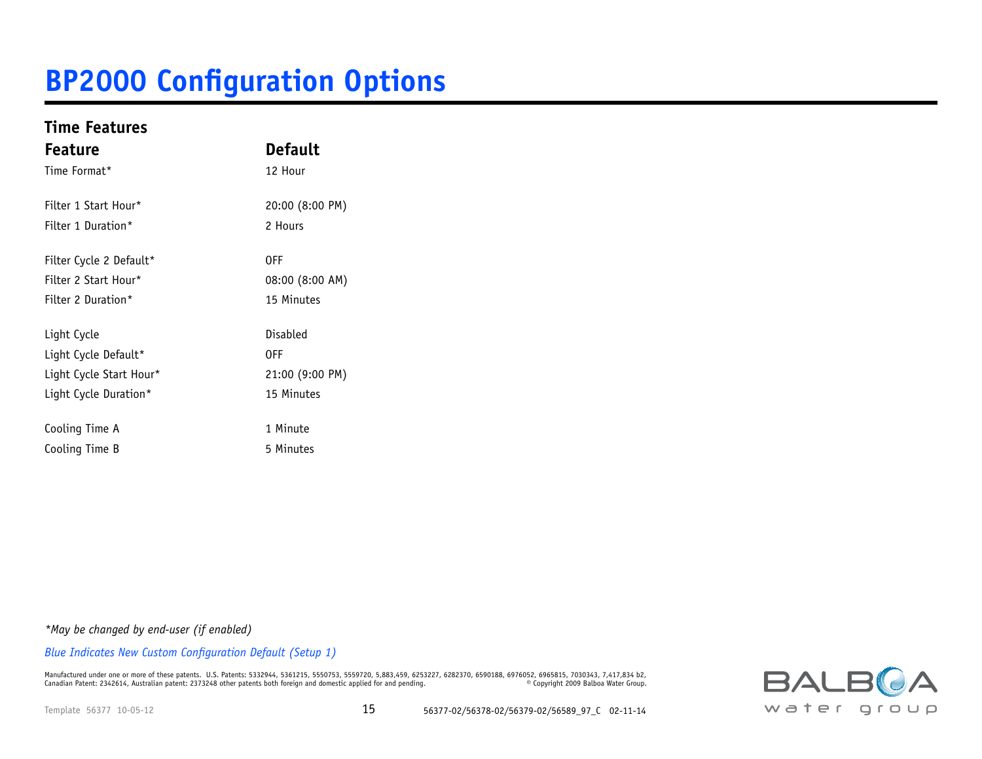### **Time Features**

| <b>Feature</b>          | <b>Default</b>  |  |  |  |  |  |  |  |  |  |
|-------------------------|-----------------|--|--|--|--|--|--|--|--|--|
| Time Format*            | 12 Hour         |  |  |  |  |  |  |  |  |  |
| Filter 1 Start Hour*    | 20:00 (8:00 PM) |  |  |  |  |  |  |  |  |  |
| Filter 1 Duration*      | 2 Hours         |  |  |  |  |  |  |  |  |  |
| Filter Cycle 2 Default* | <b>OFF</b>      |  |  |  |  |  |  |  |  |  |
| Filter 2 Start Hour*    | 08:00 (8:00 AM) |  |  |  |  |  |  |  |  |  |
| Filter 2 Duration*      | 15 Minutes      |  |  |  |  |  |  |  |  |  |
| Light Cycle             | Disabled        |  |  |  |  |  |  |  |  |  |
| Light Cycle Default*    | 0FF             |  |  |  |  |  |  |  |  |  |
| Light Cycle Start Hour* | 21:00 (9:00 PM) |  |  |  |  |  |  |  |  |  |
| Light Cycle Duration*   | 15 Minutes      |  |  |  |  |  |  |  |  |  |
| Cooling Time A          | 1 Minute        |  |  |  |  |  |  |  |  |  |
| Cooling Time B          | 5 Minutes       |  |  |  |  |  |  |  |  |  |

*\*May be changed by end-user (if enabled)*

*Blue Indicates New Custom Configuration Default (Setup 1)*

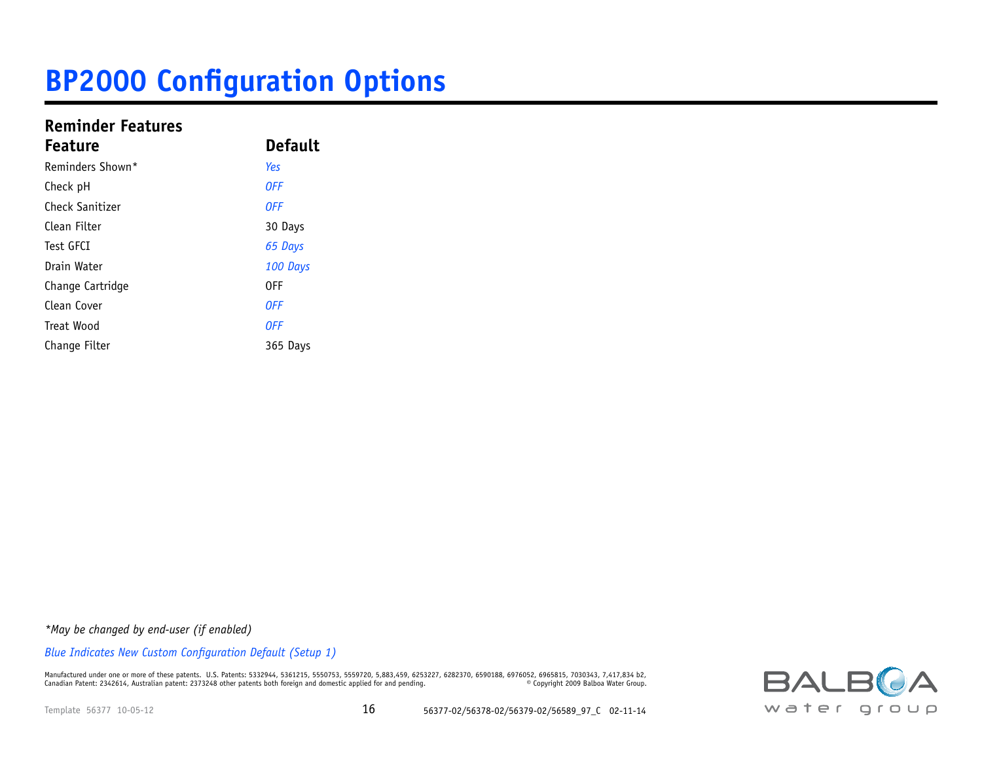### **Reminder Features**

| <b>Feature</b>   | <b>Default</b> |  |
|------------------|----------------|--|
| Reminders Shown* | Yes            |  |
| Check pH         | <b>OFF</b>     |  |
| Check Sanitizer  | <b>OFF</b>     |  |
| Clean Filter     | 30 Days        |  |
| Test GFCI        | 65 Days        |  |
| Drain Water      | 100 Days       |  |
| Change Cartridge | 0FF            |  |
| Clean Cover      | <b>OFF</b>     |  |
| Treat Wood       | <b>OFF</b>     |  |
| Change Filter    | 365 Days       |  |

*\*May be changed by end-user (if enabled)*

*Blue Indicates New Custom Configuration Default (Setup 1)*

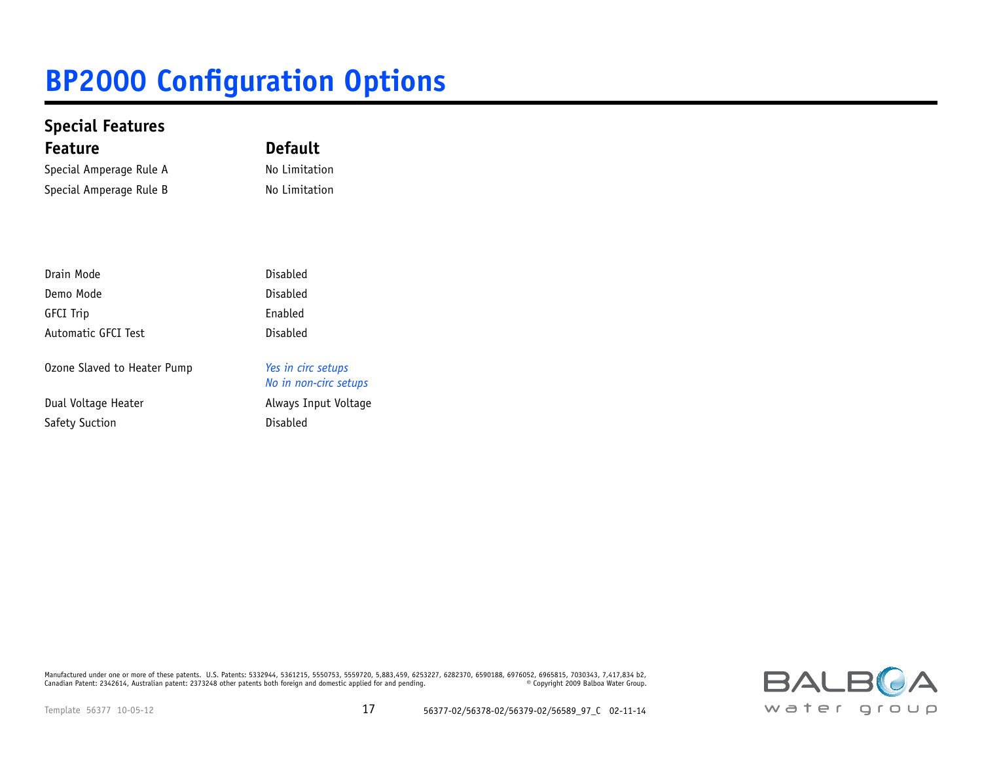| <b>Special Features</b>     |                                             |
|-----------------------------|---------------------------------------------|
| <b>Feature</b>              | <b>Default</b>                              |
| Special Amperage Rule A     | No Limitation                               |
| Special Amperage Rule B     | No Limitation                               |
|                             |                                             |
| Drain Mode                  | Disabled                                    |
| Demo Mode                   | Disabled                                    |
| <b>GFCI Trip</b>            | Enabled                                     |
| Automatic GFCI Test         | Disabled                                    |
| Ozone Slaved to Heater Pump | Yes in circ setups<br>No in non-circ setups |
| Dual Voltage Heater         | Always Input Voltage                        |
| Safety Suction              | Disabled                                    |

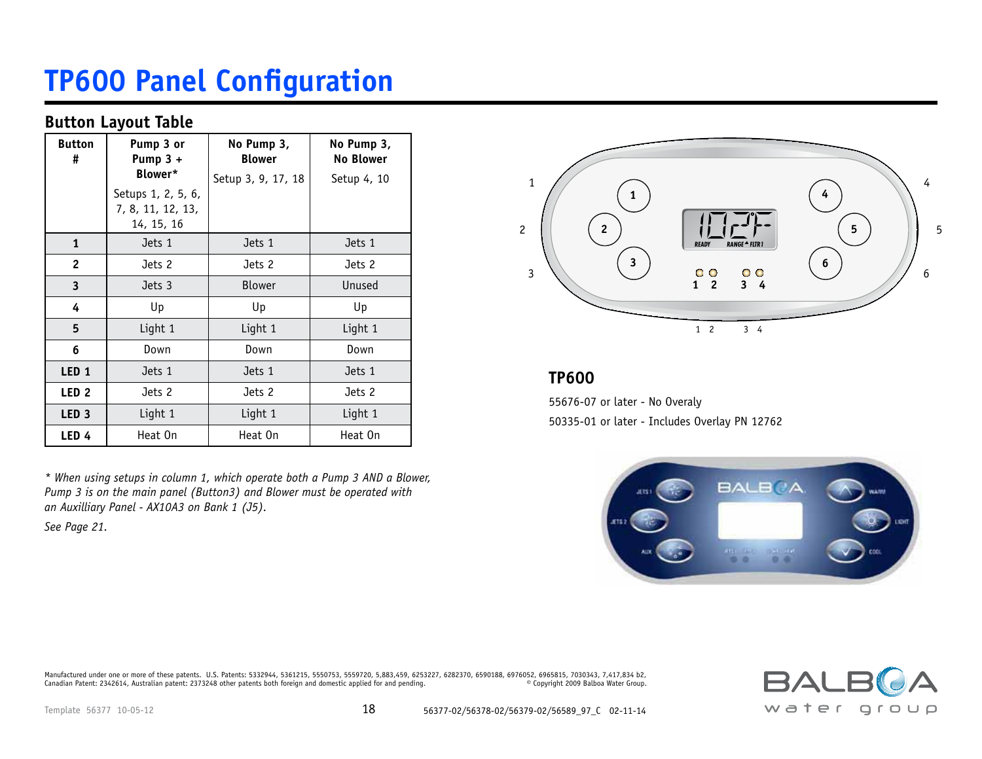## **TP600 Panel Configuration**

#### **Button Layout Table**

| <b>Button</b><br>#      | Pump 3 or<br>Pump $3 +$         | No Pump 3,<br><b>Blower</b> | No Pump 3,<br><b>No Blower</b> |
|-------------------------|---------------------------------|-----------------------------|--------------------------------|
|                         | Blower*<br>Setups 1, 2, 5, 6,   | Setup 3, 9, 17, 18          | Setup 4, 10                    |
|                         | 7, 8, 11, 12, 13,<br>14, 15, 16 |                             |                                |
| $\mathbf{1}$            | Jets 1                          | Jets 1                      | Jets 1                         |
| $\overline{2}$          | Jets 2                          | Jets 2                      | Jets 2                         |
| $\overline{\mathbf{3}}$ | Jets 3                          | Blower                      | Unused                         |
| 4                       | Up                              | Up                          | Up                             |
| 5                       | Light 1                         | Light 1                     | Light 1                        |
| 6                       | Down                            | Down                        | Down                           |
| LED <sub>1</sub>        | Jets 1                          | Jets 1                      | Jets 1                         |
| LED <sub>2</sub>        | Jets 2                          | Jets 2                      | Jets 2                         |
| LED <sub>3</sub>        | Light 1                         | Light 1                     | Light 1                        |
| LED <sub>4</sub>        | Heat On                         | Heat On                     | Heat On                        |

*\* When using setups in column 1, which operate both a Pump 3 AND a Blower, Pump 3 is on the main panel (Button3) and Blower must be operated with an Auxilliary Panel - AX10A3 on Bank 1 (J5).* 

*See Page 21.*



### **TP600**

55676-07 or later - No Overaly 50335-01 or later - Includes Overlay PN 12762



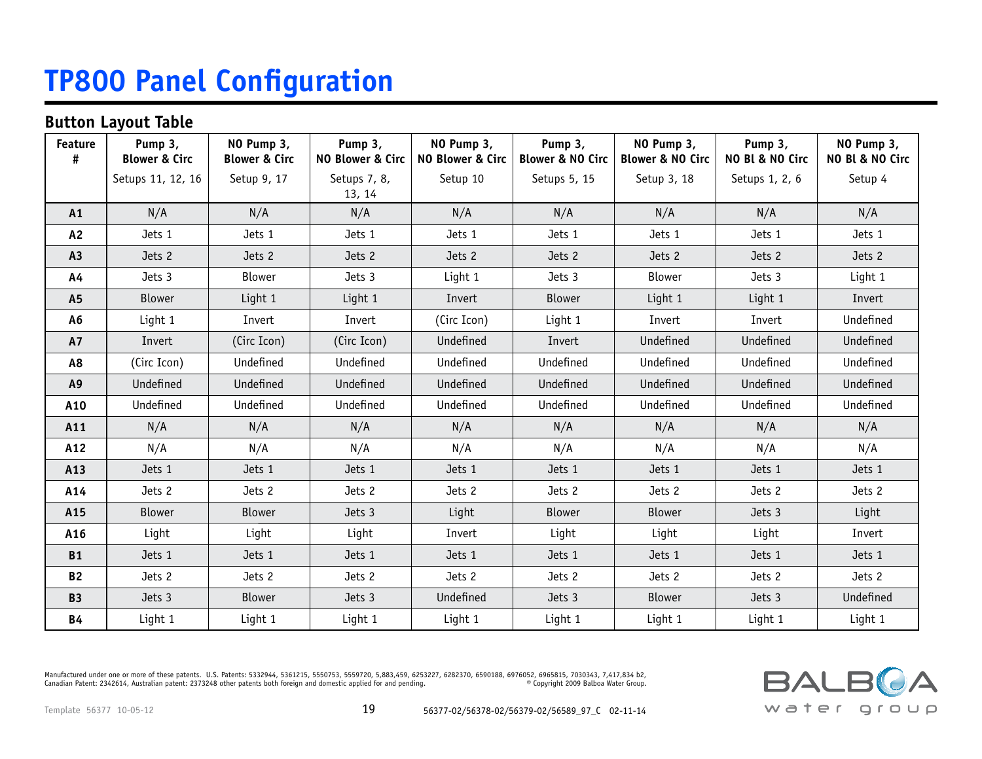## **TP800 Panel Configuration**

### **Button Layout Table**

| <b>Feature</b><br># | Pump 3,<br><b>Blower &amp; Circ</b> | NO Pump 3,<br><b>Blower &amp; Circ</b> | Pump 3,<br>NO Blower & Circ | NO Pump 3,<br>NO Blower & Circ | Pump 3,<br><b>Blower &amp; NO Circ</b> | NO Pump 3,<br><b>Blower &amp; NO Circ</b> | Pump 3,<br>NO Bl & NO Circ | NO Pump 3,<br>NO Bl & NO Circ |
|---------------------|-------------------------------------|----------------------------------------|-----------------------------|--------------------------------|----------------------------------------|-------------------------------------------|----------------------------|-------------------------------|
|                     | Setups 11, 12, 16                   | Setup 9, 17                            | Setups 7, 8,<br>13, 14      | Setup 10                       | Setups 5, 15                           | Setup 3, 18                               | Setups 1, 2, 6             | Setup 4                       |
| A1                  | N/A                                 | N/A                                    | N/A                         | N/A                            | N/A                                    | N/A                                       | N/A                        | N/A                           |
| A <sub>2</sub>      | Jets 1                              | Jets 1                                 | Jets 1                      | Jets 1                         | Jets 1                                 | Jets 1                                    | Jets 1                     | Jets 1                        |
| A <sub>3</sub>      | Jets 2                              | Jets 2                                 | Jets 2                      | Jets 2                         | Jets 2                                 | Jets 2                                    | Jets 2                     | Jets 2                        |
| A4                  | Jets 3                              | Blower                                 | Jets 3                      | Light 1                        | Jets 3                                 | Blower                                    | Jets 3                     | Light 1                       |
| A <sub>5</sub>      | Blower                              | Light 1                                | Light 1                     | Invert                         | <b>Blower</b>                          | Light 1                                   | Light 1                    | Invert                        |
| A6                  | Light 1                             | Invert                                 | Invert                      | (Circ Icon)                    | Light 1                                | Invert                                    | Invert                     | Undefined                     |
| <b>A7</b>           | Invert                              | (Circ Icon)                            | (Circ Icon)                 | Undefined                      | Invert                                 | Undefined                                 | Undefined                  | Undefined                     |
| A8                  | (Circ Icon)                         | Undefined                              | Undefined                   | Undefined                      | Undefined                              | Undefined                                 | Undefined                  | Undefined                     |
| A9                  | Undefined                           | Undefined                              | Undefined                   | Undefined                      | Undefined                              | Undefined                                 | Undefined                  | Undefined                     |
| A10                 | Undefined                           | Undefined                              | Undefined                   | Undefined                      | Undefined                              | Undefined                                 | Undefined                  | Undefined                     |
| A11                 | N/A                                 | N/A                                    | N/A                         | N/A                            | N/A                                    | N/A                                       | N/A                        | N/A                           |
| A12                 | N/A                                 | N/A                                    | N/A                         | N/A                            | N/A                                    | N/A                                       | N/A                        | N/A                           |
| A13                 | Jets 1                              | Jets 1                                 | Jets 1                      | Jets 1                         | Jets 1                                 | Jets 1                                    | Jets 1                     | Jets 1                        |
| A14                 | Jets 2                              | Jets 2                                 | Jets 2                      | Jets 2                         | Jets 2                                 | Jets 2                                    | Jets 2                     | Jets 2                        |
| A15                 | <b>Blower</b>                       | <b>Blower</b>                          | Jets 3                      | Light                          | <b>Blower</b>                          | <b>Blower</b>                             | Jets 3                     | Light                         |
| A16                 | Light                               | Light                                  | Light                       | Invert                         | Light                                  | Light                                     | Light                      | Invert                        |
| <b>B1</b>           | Jets 1                              | Jets 1                                 | Jets 1                      | Jets 1                         | Jets 1                                 | Jets 1                                    | Jets 1                     | Jets 1                        |
| <b>B2</b>           | Jets 2                              | Jets 2                                 | Jets 2                      | Jets 2                         | Jets 2                                 | Jets 2                                    | Jets 2                     | Jets 2                        |
| <b>B3</b>           | Jets 3                              | <b>Blower</b>                          | Jets 3                      | Undefined                      | Jets 3                                 | <b>Blower</b>                             | Jets 3                     | Undefined                     |
| <b>B4</b>           | Light 1                             | Light 1                                | Light 1                     | Light 1                        | Light 1                                | Light 1                                   | Light 1                    | Light 1                       |

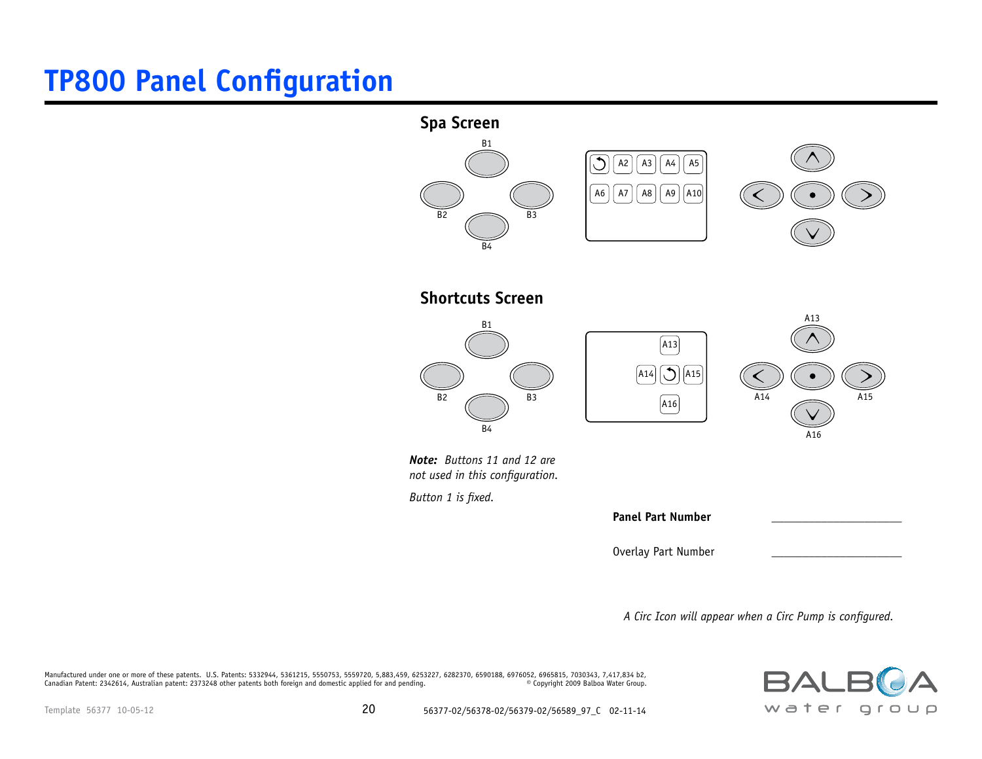## **TP800 Panel Configuration**



*A Circ Icon will appear when a Circ Pump is configured.*

 $BA$ water group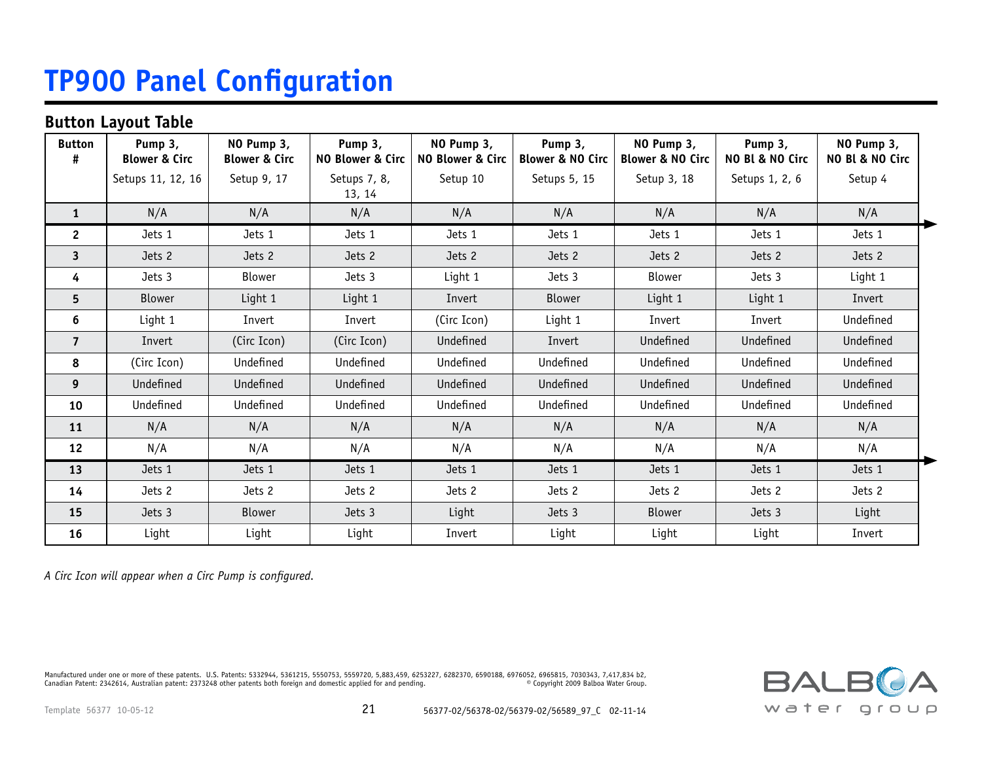## **TP900 Panel Configuration**

#### **Button Layout Table**

| <b>Button</b>           | Pump 3,<br><b>Blower &amp; Circ</b> | NO Pump 3,<br><b>Blower &amp; Circ</b> | Pump 3,<br><b>NO Blower &amp; Circ</b> | NO Pump 3,<br>NO Blower & Circ | Pump 3,<br><b>Blower &amp; NO Circ</b> | NO Pump 3,<br><b>Blower &amp; NO Circ</b> | Pump 3,<br>NO Bl & NO Circ | NO Pump 3,<br>NO Bl & NO Circ |
|-------------------------|-------------------------------------|----------------------------------------|----------------------------------------|--------------------------------|----------------------------------------|-------------------------------------------|----------------------------|-------------------------------|
|                         | Setups 11, 12, 16                   | Setup 9, 17                            | Setups 7, 8,<br>13, 14                 | Setup 10                       | Setups 5, 15                           | Setup 3, 18                               | Setups 1, 2, 6             | Setup 4                       |
| $\mathbf{1}$            | N/A                                 | N/A                                    | N/A                                    | N/A                            | N/A                                    | N/A                                       | N/A                        | N/A                           |
| $\overline{2}$          | Jets 1                              | Jets 1                                 | Jets 1                                 | Jets 1                         | Jets 1                                 | Jets 1                                    | Jets 1                     | Jets 1                        |
| $\overline{\mathbf{3}}$ | Jets 2                              | Jets 2                                 | Jets 2                                 | Jets 2                         | Jets 2                                 | Jets 2                                    | Jets 2                     | Jets 2                        |
| 4                       | Jets 3                              | <b>Blower</b>                          | Jets 3                                 | Light 1                        | Jets 3                                 | <b>Blower</b>                             | Jets 3                     | Light 1                       |
| 5                       | <b>Blower</b>                       | Light 1                                | Light 1                                | Invert                         | <b>Blower</b>                          | Light 1                                   | Light 1                    | Invert                        |
| 6                       | Light 1                             | Invert                                 | Invert                                 | (Circ Icon)                    | Light 1                                | Invert                                    | Invert                     | Undefined                     |
| $\overline{7}$          | Invert                              | (Circ Icon)                            | (Circ Icon)                            | Undefined                      | Invert                                 | Undefined                                 | Undefined                  | Undefined                     |
| 8                       | (Circ Icon)                         | Undefined                              | Undefined                              | Undefined                      | Undefined                              | Undefined                                 | Undefined                  | Undefined                     |
| 9                       | Undefined                           | Undefined                              | Undefined                              | Undefined                      | Undefined                              | Undefined                                 | Undefined                  | Undefined                     |
| 10                      | Undefined                           | Undefined                              | Undefined                              | Undefined                      | Undefined                              | Undefined                                 | Undefined                  | Undefined                     |
| 11                      | N/A                                 | N/A                                    | N/A                                    | N/A                            | N/A                                    | N/A                                       | N/A                        | N/A                           |
| 12                      | N/A                                 | N/A                                    | N/A                                    | N/A                            | N/A                                    | N/A                                       | N/A                        | N/A                           |
| 13                      | Jets 1                              | Jets 1                                 | Jets 1                                 | Jets 1                         | Jets 1                                 | Jets 1                                    | Jets 1                     | Jets 1                        |
| 14                      | Jets 2                              | Jets 2                                 | Jets 2                                 | Jets 2                         | Jets 2                                 | Jets 2                                    | Jets 2                     | Jets 2                        |
| 15                      | Jets 3                              | <b>Blower</b>                          | Jets 3                                 | Light                          | Jets 3                                 | Blower                                    | Jets 3                     | Light                         |
| 16                      | Light                               | Light                                  | Light                                  | Invert                         | Light                                  | Light                                     | Light                      | Invert                        |

*A Circ Icon will appear when a Circ Pump is configured.*

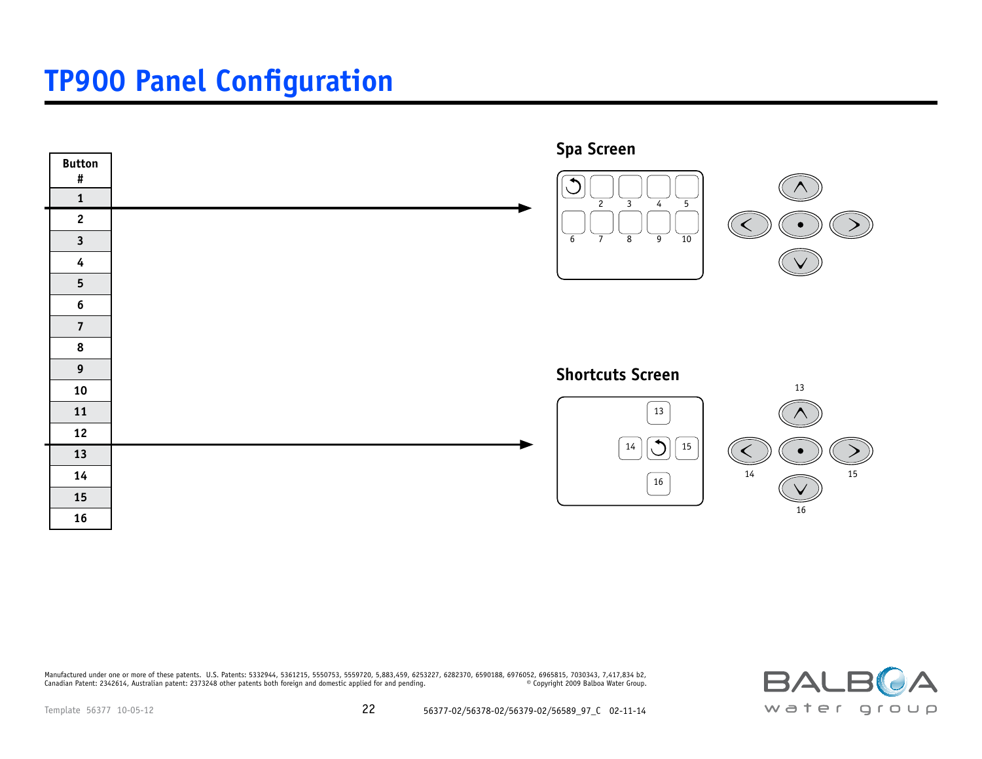### **TP900 Panel Configuration**



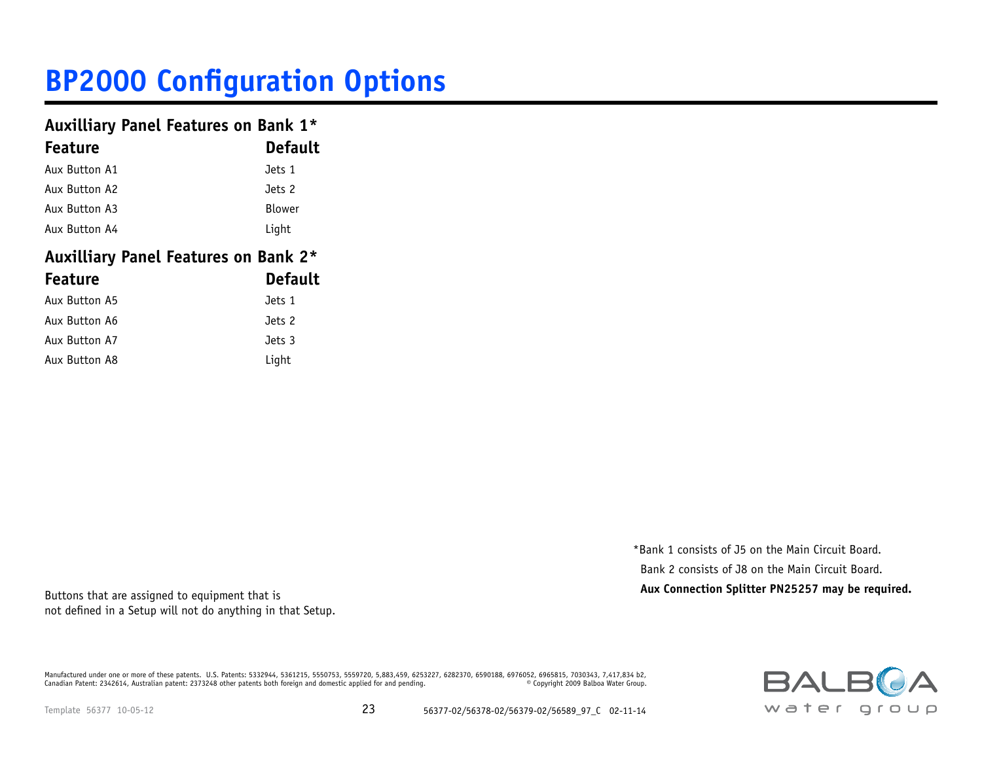#### **Auxilliary Panel Features on Bank 1\***

| <b>Feature</b> | <b>Default</b> |
|----------------|----------------|
| Aux Button A1  | Jets 1         |
| Aux Button A2  | Jets 2         |
| Aux Button A3  | Blower         |
| Aux Button A4  | Light          |

### **Auxilliary Panel Features on Bank 2\* Feature Default Default Default**

| Aux Button A5 | Jets 1 |
|---------------|--------|
| Aux Button A6 | Jets 2 |
| Aux Button A7 | Jets 3 |
| Aux Button A8 | Light  |

\*Bank 1 consists of J5 on the Main Circuit Board. Bank 2 consists of J8 on the Main Circuit Board. **Buttons that are assigned to equipment that is Aux Connection Splitter PN25257 may be required.** Buttons that are assigned to equipment that is

not defined in a Setup will not do anything in that Setup.

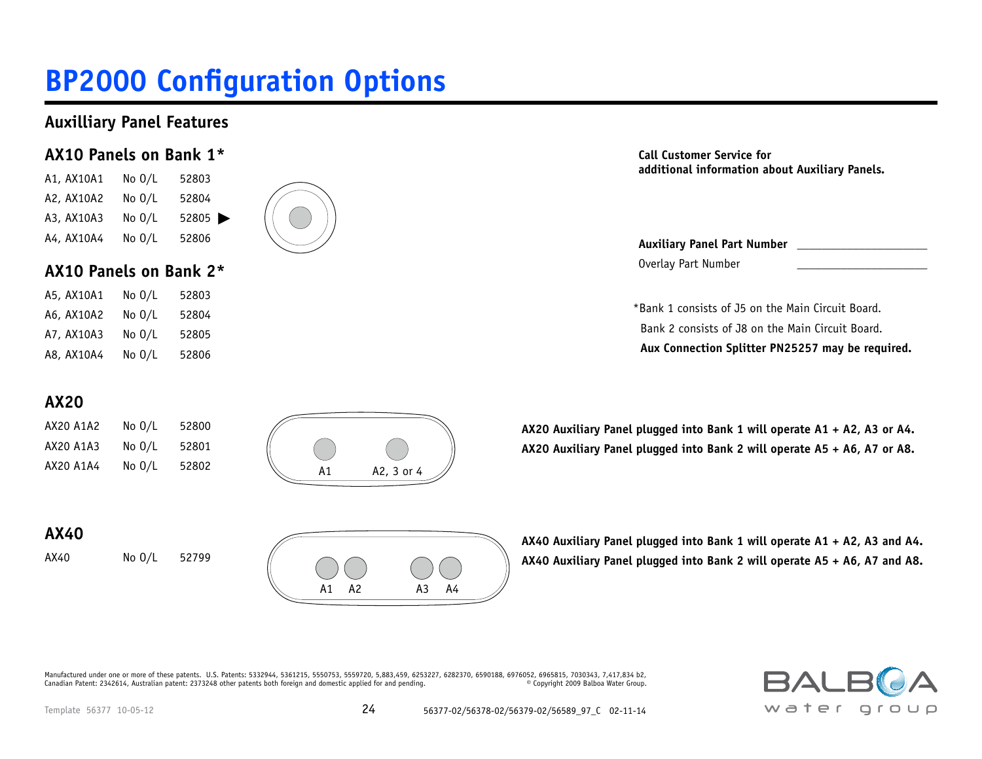### **Auxilliary Panel Features**

### **AX10 Panels on Bank 1\***

A1, AX10A1 No O/L 52803 A2, AX10A2 No O/L 52804 A3, AX10A3 No 0/L 52805 A4, AX10A4 No O/L 52806

### **AX10 Panels on Bank 2\***

| A5, AX10A1 | No $0/L$ | 52803 |
|------------|----------|-------|
| A6, AX10A2 | No $0/L$ | 52804 |
| A7, AX10A3 | No $0/L$ | 52805 |
| A8, AX10A4 | No $0/L$ | 52806 |





**Call Customer Service for additional information about Auxiliary Panels.**

**Auxiliary Panel Part Number \_\_\_\_\_\_\_\_\_\_\_\_\_\_\_\_\_\_\_\_\_** Overlay Part Number \_\_\_\_\_\_\_\_\_\_\_\_\_\_\_\_\_\_\_\_\_

\*Bank 1 consists of J5 on the Main Circuit Board. Bank 2 consists of J8 on the Main Circuit Board.  **Aux Connection Splitter PN25257 may be required.**

### **AX20**

AX20 A1A2 No O/L 52800 AX20 A1A3 No O/L 52801 AX20 A1A4 No O/L 52802



**AX20 Auxiliary Panel plugged into Bank 1 will operate A1 + A2, A3 or A4. AX20 Auxiliary Panel plugged into Bank 2 will operate A5 + A6, A7 or A8.**

**AX40**

AX40 No O/L 52799

**AX40 Auxiliary Panel plugged into Bank 1 will operate A1 + A2, A3 and A4. AX40 Auxiliary Panel plugged into Bank 2 will operate A5 + A6, A7 and A8.**

Manufactured under one or more of these patents. U.S. Patents: 5332944, 5361215, 5550753, 5559720, 5,883,459, 6253227, 6282370, 6590188, 6976052, 6965815, 7030343, 7,417,834 b2,<br>Canadian Patent: 2342614, Australian patent: Canadian Patent: 2342614, Australian patent: 2373248 other patents both foreign and domestic applied for and pending.



A1 A2 A3 A4